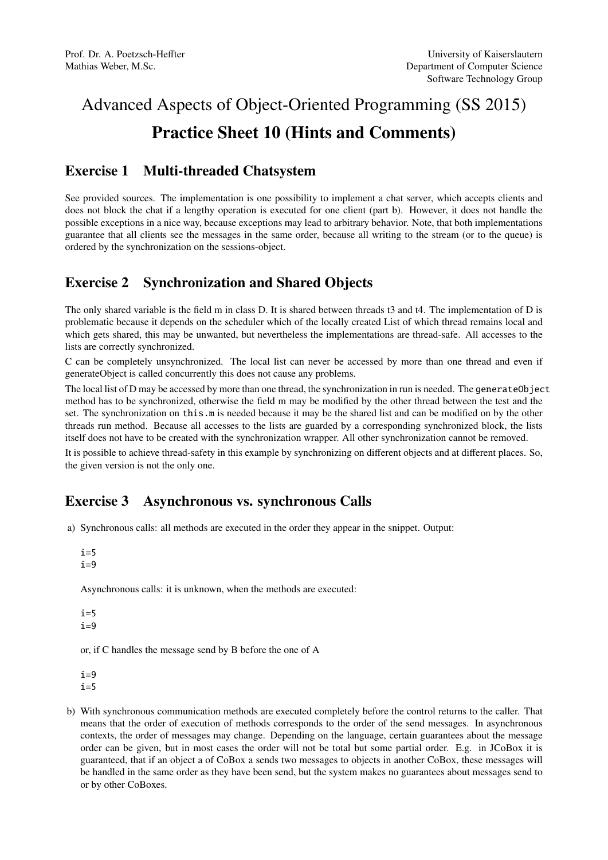## Advanced Aspects of Object-Oriented Programming (SS 2015) Practice Sheet 10 (Hints and Comments)

## Exercise 1 Multi-threaded Chatsystem

See provided sources. The implementation is one possibility to implement a chat server, which accepts clients and does not block the chat if a lengthy operation is executed for one client (part b). However, it does not handle the possible exceptions in a nice way, because exceptions may lead to arbitrary behavior. Note, that both implementations guarantee that all clients see the messages in the same order, because all writing to the stream (or to the queue) is ordered by the synchronization on the sessions-object.

## Exercise 2 Synchronization and Shared Objects

The only shared variable is the field m in class D. It is shared between threads t3 and t4. The implementation of D is problematic because it depends on the scheduler which of the locally created List of which thread remains local and which gets shared, this may be unwanted, but nevertheless the implementations are thread-safe. All accesses to the lists are correctly synchronized.

C can be completely unsynchronized. The local list can never be accessed by more than one thread and even if generateObject is called concurrently this does not cause any problems.

The local list of D may be accessed by more than one thread, the synchronization in run is needed. The generateObject method has to be synchronized, otherwise the field m may be modified by the other thread between the test and the set. The synchronization on this.m is needed because it may be the shared list and can be modified on by the other threads run method. Because all accesses to the lists are guarded by a corresponding synchronized block, the lists itself does not have to be created with the synchronization wrapper. All other synchronization cannot be removed.

It is possible to achieve thread-safety in this example by synchronizing on different objects and at different places. So, the given version is not the only one.

## Exercise 3 Asynchronous vs. synchronous Calls

a) Synchronous calls: all methods are executed in the order they appear in the snippet. Output:

```
i=5i=9
```
Asynchronous calls: it is unknown, when the methods are executed:

 $i=5$  $i=9$ 

or, if C handles the message send by B before the one of A

- $i=9$  $i=5$
- b) With synchronous communication methods are executed completely before the control returns to the caller. That means that the order of execution of methods corresponds to the order of the send messages. In asynchronous contexts, the order of messages may change. Depending on the language, certain guarantees about the message order can be given, but in most cases the order will not be total but some partial order. E.g. in JCoBox it is guaranteed, that if an object a of CoBox a sends two messages to objects in another CoBox, these messages will be handled in the same order as they have been send, but the system makes no guarantees about messages send to or by other CoBoxes.